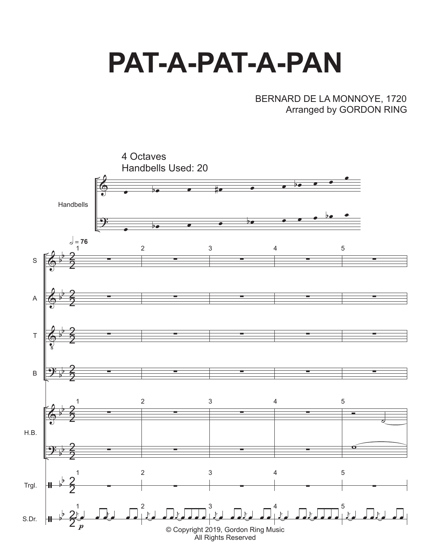## **PAT-A-PAT-A-PAN**

## BERNARD DE LA MONNOYE, 1720 Arranged by GORDON RING

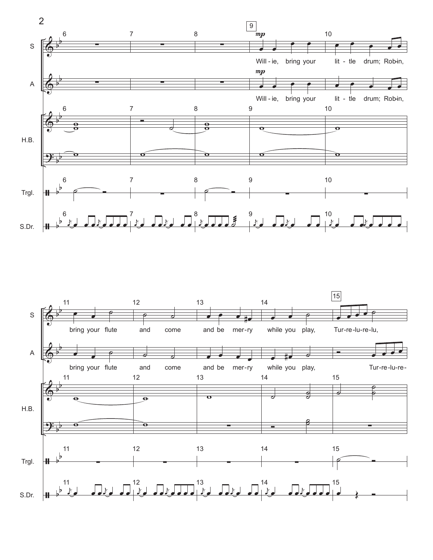

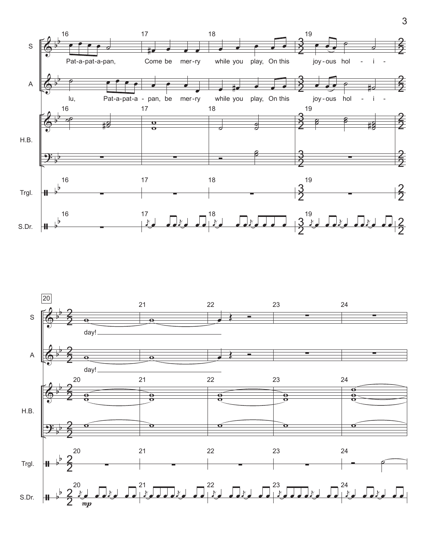

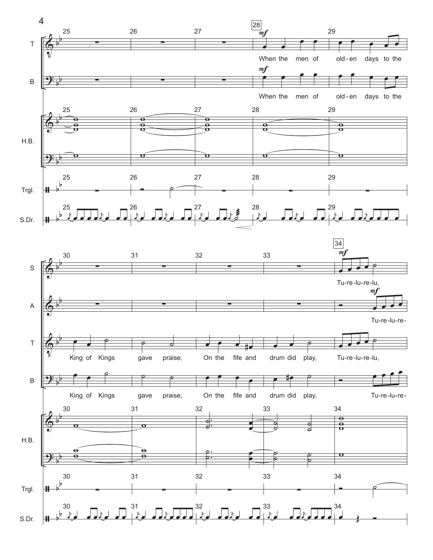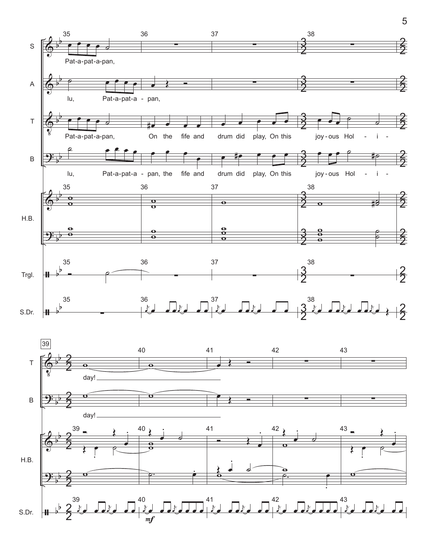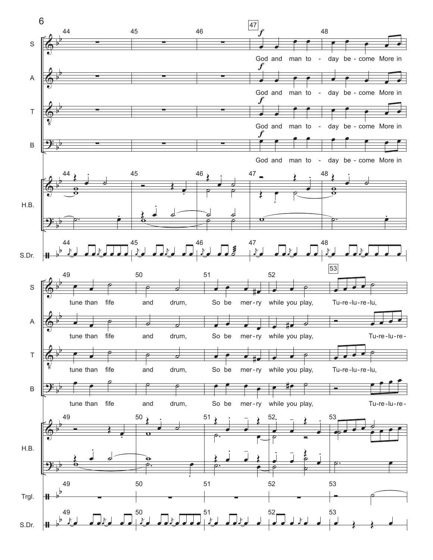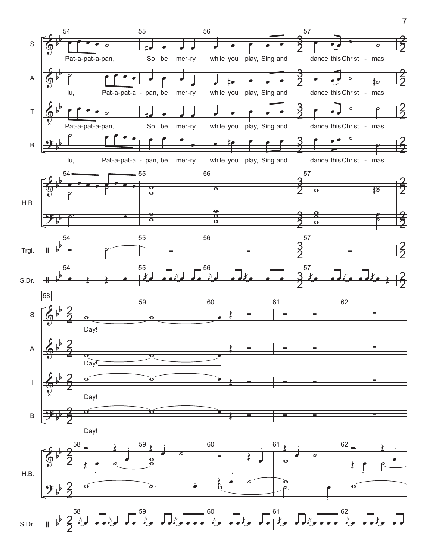